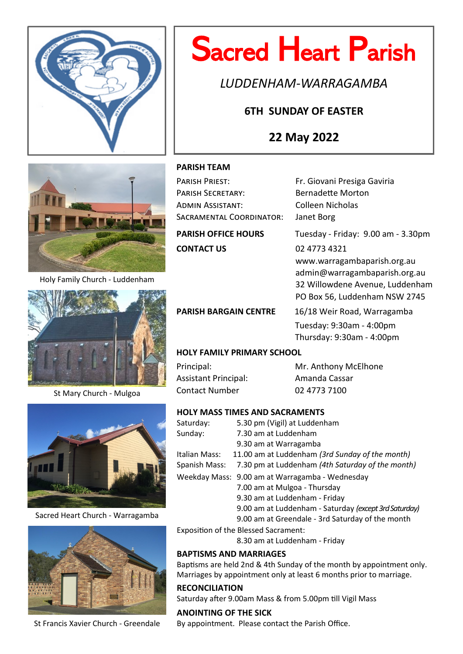

# Sacred Heart Parish

*LUDDENHAM-WARRAGAMBA*

# **6TH SUNDAY OF EASTER**

# **22 May 2022**



Holy Family Church - Luddenham



St Mary Church - Mulgoa



Sacred Heart Church - Warragamba



St Francis Xavier Church - Greendale

# **PARISH TEAM**

| PARISH PRIEST:             | Fr. Giovani Presiga Gaviria        |
|----------------------------|------------------------------------|
| <b>PARISH SECRETARY:</b>   | <b>Bernadette Morton</b>           |
| ADMIN ASSISTANT:           | <b>Colleen Nicholas</b>            |
| SACRAMENTAL COORDINATOR:   | Janet Borg                         |
| <b>PARISH OFFICE HOURS</b> | Tuesday - Friday: 9.00 am - 3.30pm |
| <b>CONTACT US</b>          | 02 4773 4321                       |
|                            | www.warragambaparish.org.au        |
|                            | admin@warragambaparish.org.au      |
|                            | 32 Willowdene Avenue, Luddenham    |

PARISH BARGAIN CENTRE 16/18 Weir Road, Warragamba Tuesday: 9:30am - 4:00pm Thursday: 9:30am - 4:00pm

PO Box 56, Luddenham NSW 2745

# **HOLY FAMILY PRIMARY SCHOOL**

Assistant Principal: Amanda Cassar Contact Number 02 4773 7100

Principal: Mr. Anthony McElhone

# **HOLY MASS TIMES AND SACRAMENTS**

| Saturday:     | 5.30 pm (Vigil) at Luddenham                          |
|---------------|-------------------------------------------------------|
| Sunday:       | 7.30 am at Luddenham                                  |
|               | 9.30 am at Warragamba                                 |
| Italian Mass: | 11.00 am at Luddenham (3rd Sunday of the month)       |
| Spanish Mass: | 7.30 pm at Luddenham (4th Saturday of the month)      |
|               | Weekday Mass: 9.00 am at Warragamba - Wednesday       |
|               | 7.00 am at Mulgoa - Thursday                          |
|               | 9.30 am at Luddenham - Friday                         |
|               | 9.00 am at Luddenham - Saturday (except 3rd Saturday) |
|               | 9.00 am at Greendale - 3rd Saturday of the month      |

Exposition of the Blessed Sacrament:

8.30 am at Luddenham - Friday

# **BAPTISMS AND MARRIAGES**

Baptisms are held 2nd & 4th Sunday of the month by appointment only. Marriages by appointment only at least 6 months prior to marriage.

# **RECONCILIATION**

Saturday after 9.00am Mass & from 5.00pm till Vigil Mass

**ANOINTING OF THE SICK** By appointment. Please contact the Parish Office.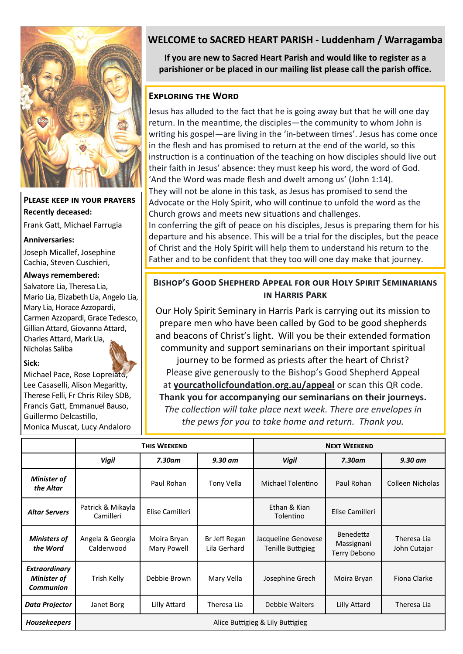

**Please keep in your prayers Recently deceased:**

Frank Gatt, Michael Farrugia

#### **Anniversaries:**

Joseph Micallef, Josephine Cachia, Steven Cuschieri,

### **Always remembered:**

Salvatore Lia, Theresa Lia, Mario Lia, Elizabeth Lia, Angelo Lia, Mary Lia, Horace Azzopardi, Carmen Azzopardi, Grace Tedesco, Gillian Attard, Giovanna Attard, Charles Attard, Mark Lia, Nicholas Saliba

# **Sick:**

Michael Pace, Rose Lopreiato, Lee Casaselli, Alison Megaritty, Therese Felli, Fr Chris Riley SDB, Francis Gatt, Emmanuel Bauso, Guillermo Delcastillo, Monica Muscat, Lucy Andaloro

# **WELCOME to SACRED HEART PARISH - Luddenham / Warragamba**

**If you are new to Sacred Heart Parish and would like to register as a parishioner or be placed in our mailing list please call the parish office.**

# **Exploring the Word**

Jesus has alluded to the fact that he is going away but that he will one day return. In the meantime, the disciples—the community to whom John is writing his gospel—are living in the 'in-between times'. Jesus has come once in the flesh and has promised to return at the end of the world, so this instruction is a continuation of the teaching on how disciples should live out their faith in Jesus' absence: they must keep his word, the word of God. 'And the Word was made flesh and dwelt among us' (John 1:14). They will not be alone in this task, as Jesus has promised to send the Advocate or the Holy Spirit, who will continue to unfold the word as the Church grows and meets new situations and challenges.

In conferring the gift of peace on his disciples, Jesus is preparing them for his departure and his absence. This will be a trial for the disciples, but the peace of Christ and the Holy Spirit will help them to understand his return to the Father and to be confident that they too will one day make that journey.

# **BISHOP'S GOOD SHEPHERD APPEAL FOR OUR HOLY SPIRIT SEMINARIANS in Harris Park**

Our Holy Spirit Seminary in Harris Park is carrying out its mission to prepare men who have been called by God to be good shepherds and beacons of Christ's light. Will you be their extended formation community and support seminarians on their important spiritual

journey to be formed as priests after the heart of Christ? Please give generously to the Bishop's Good Shepherd Appeal at **yourcatholicfoundation.org.au/appeal** or scan this QR code. **Thank you for accompanying our seminarians on their journeys.** *The collection will take place next week. There are envelopes in the pews for you to take home and return. Thank you.*

|                                                                | <b>THIS WEEKEND</b>              |                            |                               | <b>NEXT WEEKEND</b>                             |                                         |                             |
|----------------------------------------------------------------|----------------------------------|----------------------------|-------------------------------|-------------------------------------------------|-----------------------------------------|-----------------------------|
|                                                                | <b>Vigil</b>                     | 7.30am                     | $9.30$ am                     | <b>Vigil</b>                                    | $7.30$ am                               | 9.30 am                     |
| <b>Minister of</b><br>the Altar                                |                                  | Paul Rohan                 | Tony Vella                    | Michael Tolentino                               | Paul Rohan                              | Colleen Nicholas            |
| <b>Altar Servers</b>                                           | Patrick & Mikayla<br>Camilleri   | Elise Camilleri            |                               | Ethan & Kian<br>Tolentino                       | Elise Camilleri                         |                             |
| <b>Ministers of</b><br>the Word                                | Angela & Georgia<br>Calderwood   | Moira Bryan<br>Mary Powell | Br Jeff Regan<br>Lila Gerhard | Jacqueline Genovese<br><b>Tenille Buttigieg</b> | Benedetta<br>Massignani<br>Terry Debono | Theresa Lia<br>John Cutajar |
| <b>Extraordinary</b><br><b>Minister of</b><br><b>Communion</b> | Trish Kelly                      | Debbie Brown               | Mary Vella                    | Josephine Grech                                 | Moira Bryan                             | Fiona Clarke                |
| <b>Data Projector</b>                                          | Janet Borg                       | Lilly Attard               | Theresa Lia                   | Debbie Walters                                  | Lilly Attard                            | Theresa Lia                 |
| <b>Housekeepers</b>                                            | Alice Buttigieg & Lily Buttigieg |                            |                               |                                                 |                                         |                             |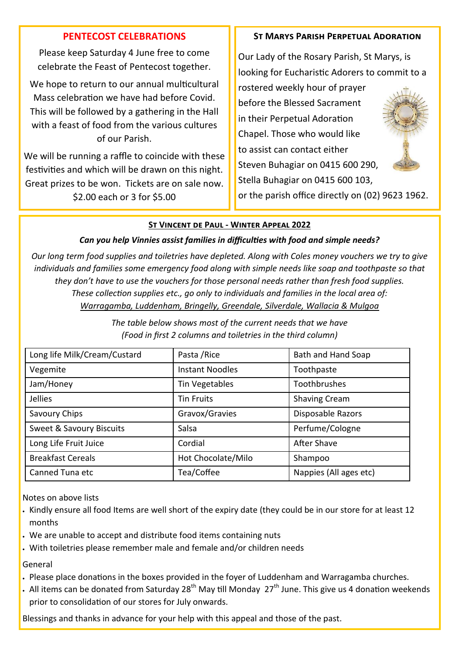# **PENTECOST CELEBRATIONS**

Please keep Saturday 4 June free to come celebrate the Feast of Pentecost together.

We hope to return to our annual multicultural Mass celebration we have had before Covid. This will be followed by a gathering in the Hall with a feast of food from the various cultures of our Parish.

We will be running a raffle to coincide with these festivities and which will be drawn on this night. Great prizes to be won. Tickets are on sale now. \$2.00 each or 3 for \$5.00

# **St Marys Parish Perpetual Adoration**

Our Lady of the Rosary Parish, St Marys, is looking for Eucharistic Adorers to commit to a

rostered weekly hour of prayer before the Blessed Sacrament in their Perpetual Adoration Chapel. Those who would like to assist can contact either Steven Buhagiar on 0415 600 290, Stella Buhagiar on 0415 600 103, or the parish office directly on (02) 9623 1962.



# **St Vincent de Paul - Winter Appeal 2022**

# *Can you help Vinnies assist families in difficulties with food and simple needs?*

*Our long term food supplies and toiletries have depleted. Along with Coles money vouchers we try to give individuals and families some emergency food along with simple needs like soap and toothpaste so that they don't have to use the vouchers for those personal needs rather than fresh food supplies. These collection supplies etc., go only to individuals and families in the local area of: Warragamba, Luddenham, Bringelly, Greendale, Silverdale, Wallacia & Mulgoa*

> *The table below shows most of the current needs that we have (Food in first 2 columns and toiletries in the third column)*

| Long life Milk/Cream/Custard | Pasta / Rice           | Bath and Hand Soap     |  |
|------------------------------|------------------------|------------------------|--|
| Vegemite                     | <b>Instant Noodles</b> | Toothpaste             |  |
| Jam/Honey                    | Tin Vegetables         | Toothbrushes           |  |
| Jellies                      | <b>Tin Fruits</b>      | <b>Shaving Cream</b>   |  |
| Savoury Chips                | Gravox/Gravies         | Disposable Razors      |  |
| Sweet & Savoury Biscuits     | Salsa                  | Perfume/Cologne        |  |
| Long Life Fruit Juice        | Cordial                | After Shave            |  |
| <b>Breakfast Cereals</b>     | Hot Chocolate/Milo     | Shampoo                |  |
| Canned Tuna etc              | Tea/Coffee             | Nappies (All ages etc) |  |

Notes on above lists

- Kindly ensure all food Items are well short of the expiry date (they could be in our store for at least 12 months
- We are unable to accept and distribute food items containing nuts
- With toiletries please remember male and female and/or children needs

# General

- Please place donations in the boxes provided in the foyer of Luddenham and Warragamba churches.
- All items can be donated from Saturday 28<sup>th</sup> May till Monday 27<sup>th</sup> June. This give us 4 donation weekends prior to consolidation of our stores for July onwards.

Blessings and thanks in advance for your help with this appeal and those of the past.